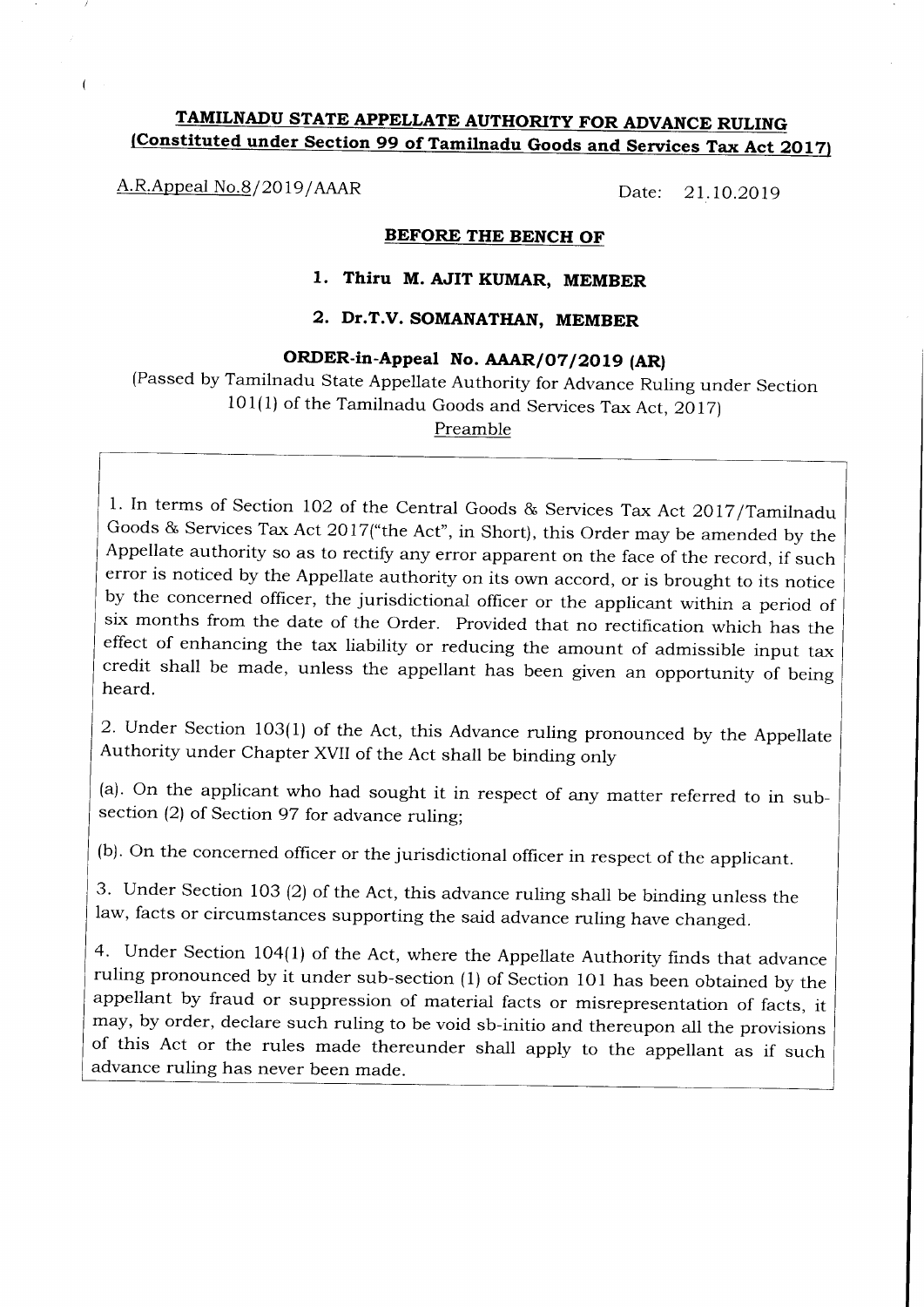# TAMILNADU STATE APPELLATE AUTHORITY FOR ADVANCE RULING (Constituted under Section 99 of Tamilnadu Goods and Services Tax Act 2017)

A.R.Appeal No.8/2019/AAAR Date: 21.10.2019

 $\sqrt{ }$ 

### BEFORE THE BENCH OF

## 1. Thiru M. AJIT KUMAR, MEMBER

## 2. Dr.T.V. SOMANATIIAN, MEMBER

## ORDER-in-Appeal No. AAAR/07/2019 (AR)

(Passed by Tamilnadu State Appellate Authority for Advance Ruiing under Section  $101(1)$  of the Tamilnadu Goods and Services Tax Act, 2017)

Preamble

1. In terms of Section 102 of the Central Goods & Services Tax Act 2017/Tamilnadu Goods & Services Tax Act 2O17("the Act", in Short), this Order may be amended by the Appellate authority so as to rectify any error apparent on the face of the record, if such error is noticed by the Appellate authority on its own accord, or is brought to its notice by the concerned officer, the jurisdictional officer or the applicant within a period of six months from the date of the Order. Provided that no rectification which has the effect of enhancing the tax liability or reducing credit shall be made, unless the appellant has been given an opportunity of being heard.

2. Under Section 103(1) of the Act, this Advance ruiing pronounced by the Appellate Authority under chapter XVII of the Act shall be binding only

(a). On the applicant who had sought it in respect of any matter referred to in subsection (2) of Section 97 for advance ruling;

(b). On the concerned officer or the jurisdictional officer in respect of the applicant.

3' Under Section 1O3 (2) of the Act, this advance ruling shall be binding unless the law, facts or circumstances supporting the said advance ruling have changed.

4. Under Section 104(1) of the Act, where the Appellate Authority finds that advance ruling pronounced by it under sub-section (1) of Section 101 has been obtained by the appellant by fraud or suppression of material facts or misrepresentation of facts, it may, by order, declare such ruling to be void sb-initio and thereupon ali the provisions of this Act or the rules made thereunder shall apply to the appellant as if such advance ruling has never been made.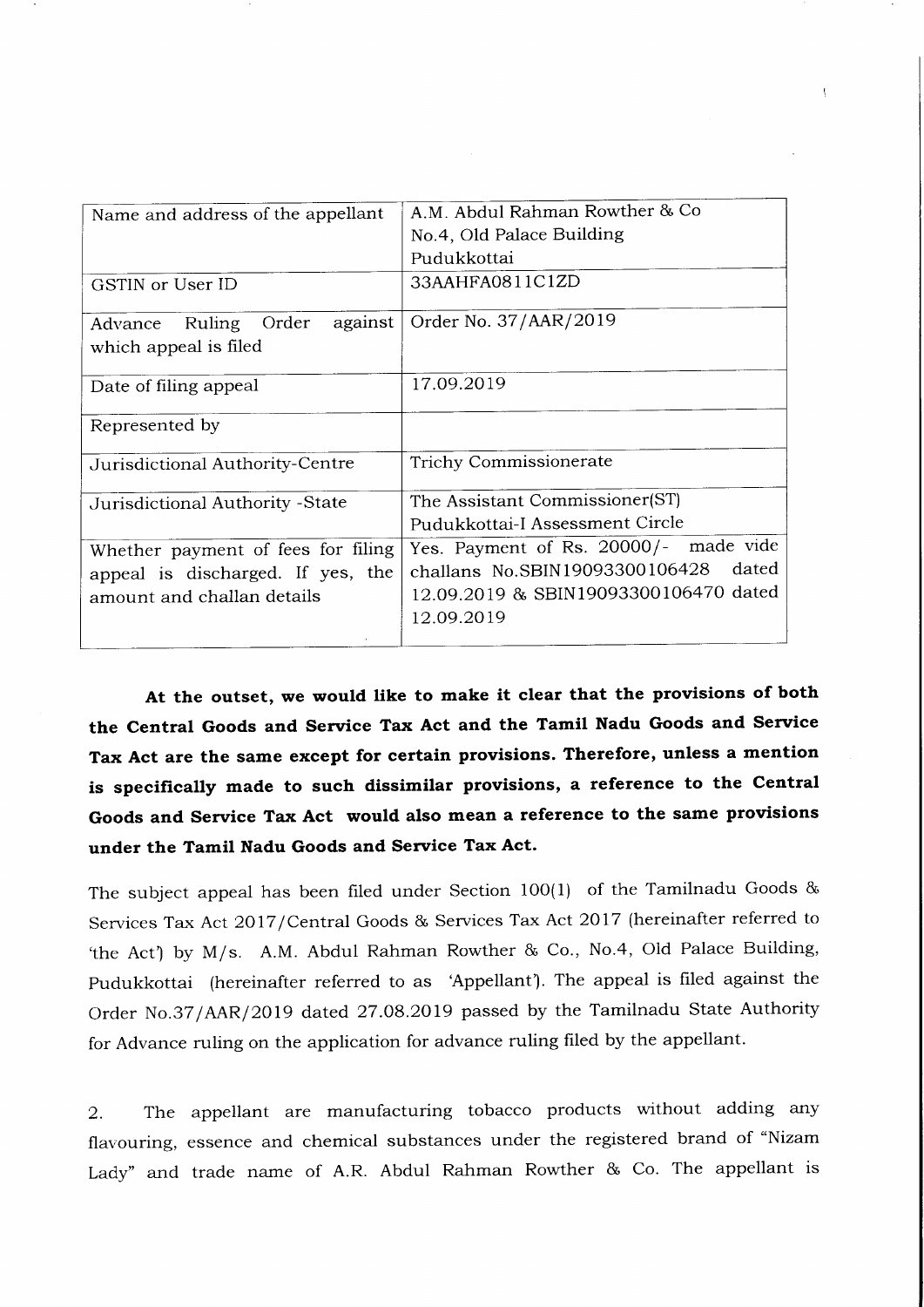| Name and address of the appellant                           | A.M. Abdul Rahman Rowther & Co          |
|-------------------------------------------------------------|-----------------------------------------|
|                                                             | No.4, Old Palace Building               |
|                                                             | Pudukkottai                             |
| GSTIN or User ID                                            | 33AAHFA0811C1ZD                         |
| against<br>Ruling Order<br>Advance<br>which appeal is filed | Order No. 37/AAR/2019                   |
| Date of filing appeal                                       | 17.09.2019                              |
| Represented by                                              |                                         |
| Jurisdictional Authority-Centre                             | Trichy Commissionerate                  |
| Jurisdictional Authority - State                            | The Assistant Commissioner(ST)          |
|                                                             | Pudukkottai-I Assessment Circle         |
| Whether payment of fees for filing                          | Yes. Payment of Rs. 20000/- made vide   |
| appeal is discharged. If yes, the                           | challans No.SBIN19093300106428<br>dated |
| amount and challan details                                  | 12.09.2019 & SBIN19093300106470 dated   |
|                                                             | 12.09.2019                              |
|                                                             |                                         |

At the outset, we would like to make it clear that the provisions of both the Central Goods and Service Tax Act and the Tamil Nadu Goods and Service Tax Act are the same except for certain provisions. Therefore, unless a mention is specifically made to such dissimilar provisions, a reference to the Central Goods and Service Tax Act would also mean a reference to the same provisions under the Tamil Nadu Goods and Service Tax Act.

The subject appeal has been filed under Section 100(1) of the Tamilnadu Goods & Services Tax Act 2017/Central Goods & Services Tax Act 2017 (hereinafter referred to 'the Act') by M/s. A.M. Abdul Rahman Rowther & Co., No.4, Old Palace Building, Pudukkottai (hereinafter referred to as 'Appellant'). The appeal is filed against the Order No.37/AAR/2019 dated 27.08.2019 passed by the Tamilnadu State Authority for Advance ruling on the application for advance ruling filed by the appellant.

2. The appellant are manufacturing tobacco products without adding any flavouring, essence and chemical substances under the registered brand of "Nizam Lady" and trade name of A.R. Abdul Rahman Rowther & Co. The appellant is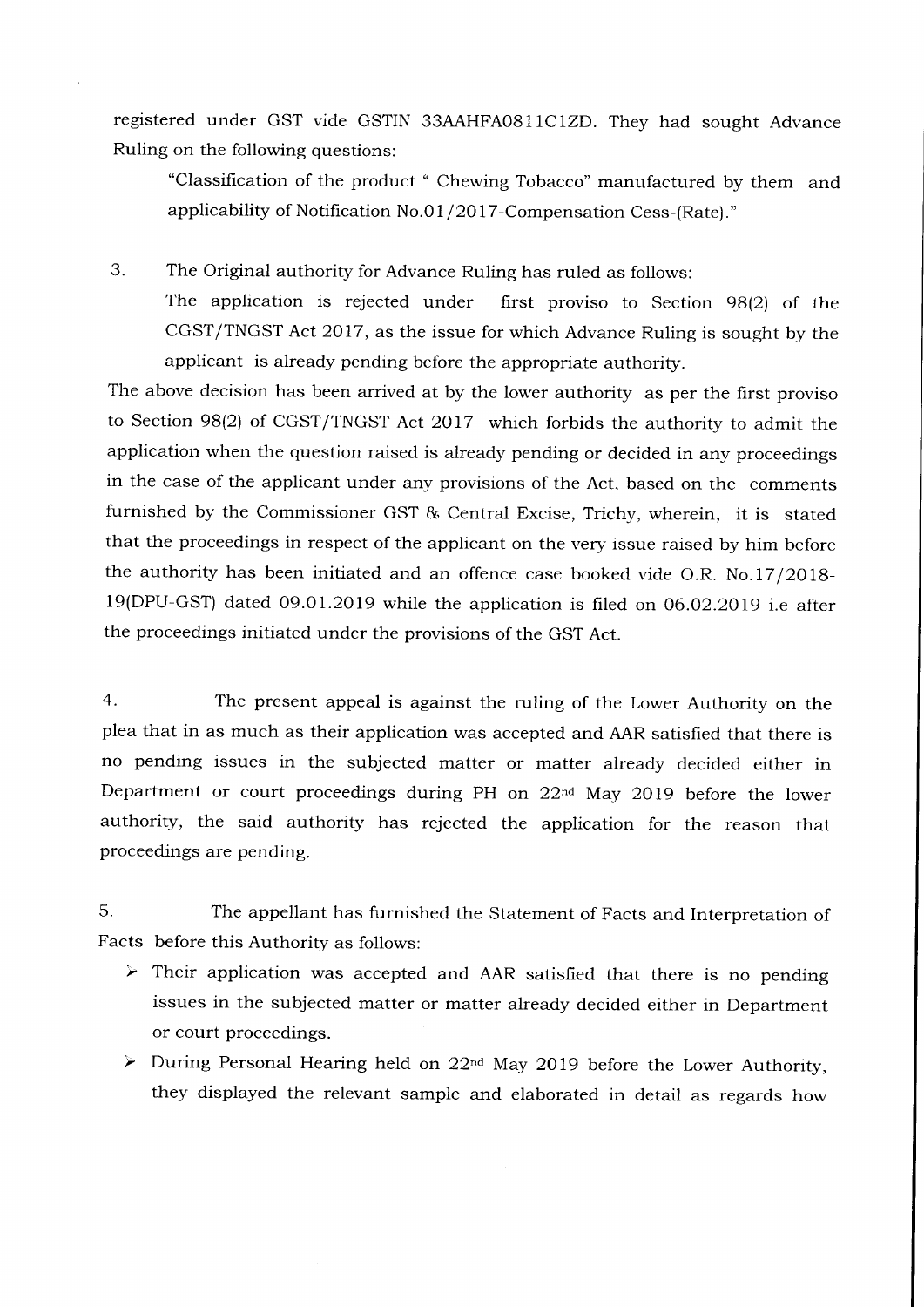registered under GST vide GSTIN 33AAHFA0811CIZD. They had sought Advance Ruling on the following questions:

"Classification of the product " Chewing Tobacco" manufactured by them and applicability of Notification No.01/2017-Compensation Cess-(Rate)."

3. The Original authority for Advance Ruling has ruled as follows:

The application is rejected under first proviso to Section 98(2) of the CGST/TNGST Act 2017, as the issue for which Advance Ruling is sought by the applicant is already pending before the appropriate authority.

The above decision has been arrived at by the lower authority as per the first proviso to Section 98(2) of CGST/TNGST Act 2OI7 which forbids the authority to admit the application when the question raised is already pending or decided in any proceedings in the case of the applicant under any provisions of the Act, based on the comments furnished by the Commissioner GST & Central Excise, Trichy, wherein, it is stated that the proceedings in respect of the applicant on the very issue raised by him before the authority has been initiated and an offence case booked vide O.R. No.17 /2OI8- I9(DPU-GST) dated 09.01.2019 while the application is filed on O6.O2.2O19 i.e after the proceedings initiated under the provisions of the GST Act.

4. The present appeal is against the ruling of the Lower Authority on the plea that in as much as their application was accepted and AAR satisfied that there is no pending issues in the subjected matter or matter already decided either in Department or court proceedings during PH on 22<sup>nd</sup> May 2019 before the lower authority, the said authority has rejected the application for the reason that proceedings are pending.

5. The appellant has furnished the Statement of Facts and Interpretation of Facts before this Authority as follows:

- > Their application was accepted and AAR satisfied that there is no pending issues in the subjected matter or matter already decided either in Department or court proceedings.
- > During Personal Hearing held on  $22^{nd}$  May 2019 before the Lower Authority, they displayed the relevant sample and elaborated in detail as regards how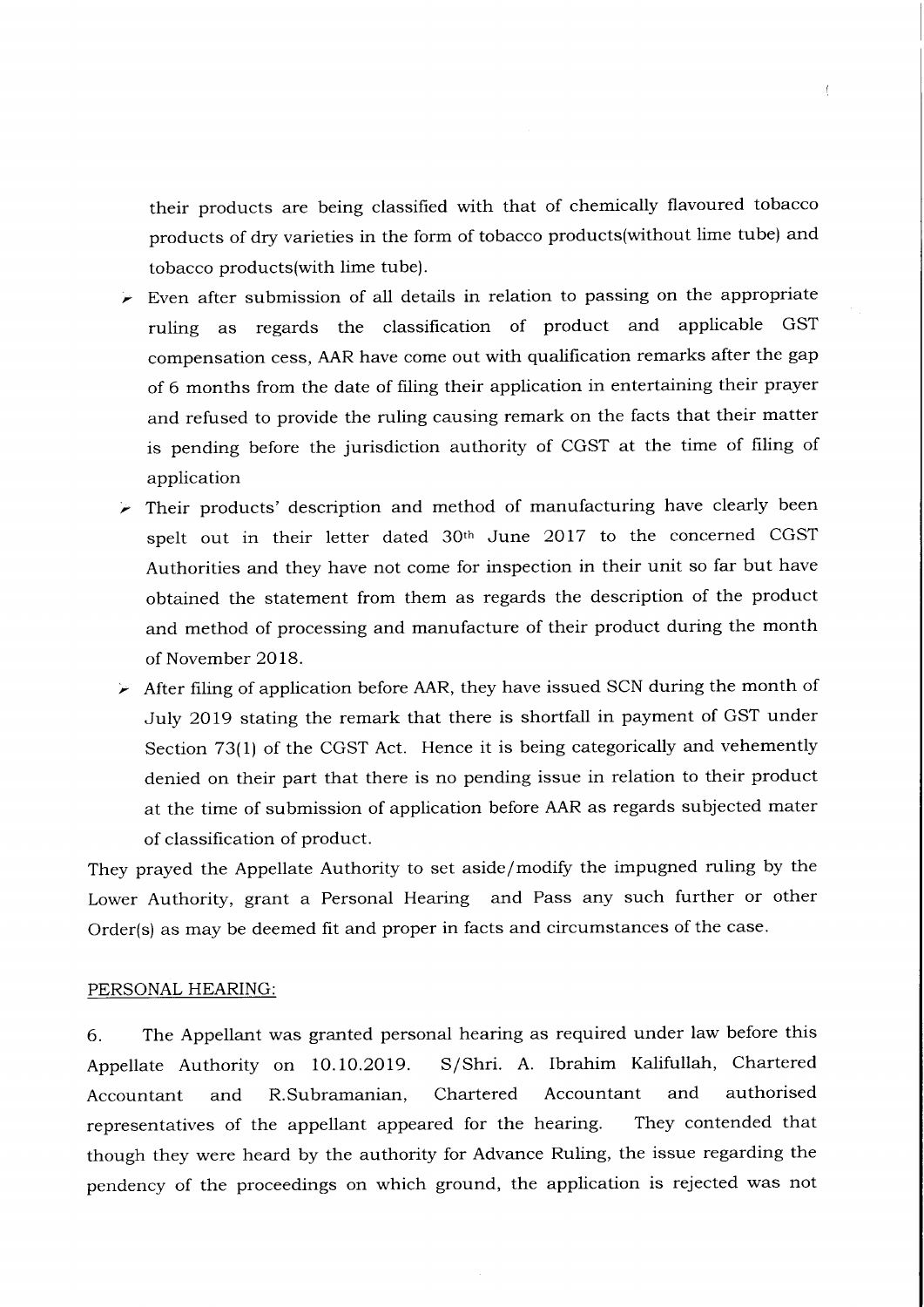their products are being classified with that of chemically flavoured tobacco products of dry varieties in the form of tobacco products(without lime tube) and tobacco products(with lime tube).

 $\langle$ 

- $\triangleright$  Even after submission of all details in relation to passing on the appropriate ruling as regards the classification of product and applicable GST compensation cess, AAR have come out with qualification remarks after the gap of 6 months from the date of filing their application in entertaining their prayer and refused to provide the ruling causing remark on the facts that their matter is pending before the jurisdiction authority of CGST at the time of filing of application
- $\triangleright$  Their products' description and method of manufacturing have clearly been spelt out in their letter dated 30th June 2OI7 to the concerned CGST Authorities and they have not come for inspection in their unit so far but have obtained the statement from them as regards the description of the product and method of processing and manufacture of their product during the month of November 2OI8.
- $\triangleright$  After filing of application before AAR, they have issued SCN during the month of July 2019 stating the remark that there is shortfall in payment of GST under Section 73(ll of the CGST Act. Hence it is being categorically and vehemently denied on their part that there is no pending issue in relation to their product at the time of submission of application before AAR as regards subjected mater of classification of product.

They prayed the Appellate Authority to set aside/modify the impugned ruling by the Lower Authority, grant a Personal Hearing and Pass any such further or other Order(s) as may be deemed fit and proper in facts and circumstances of the case.

#### PERSONAL HEARING:

6. The Appellant was granted personal hearing as required under law before this Appeliate Authority on 10.10.2019. S/Shri. A. Ibrahim Kalifullah, Chartered Accountant and R.Subramanian, Chartered Accountant and authorised representatives of the appellant appeared for the hearing. They contended that though they were heard by the authority for Advance Ruling, the issue regarding the pendency of the proceedings on which ground, the application is rejected was not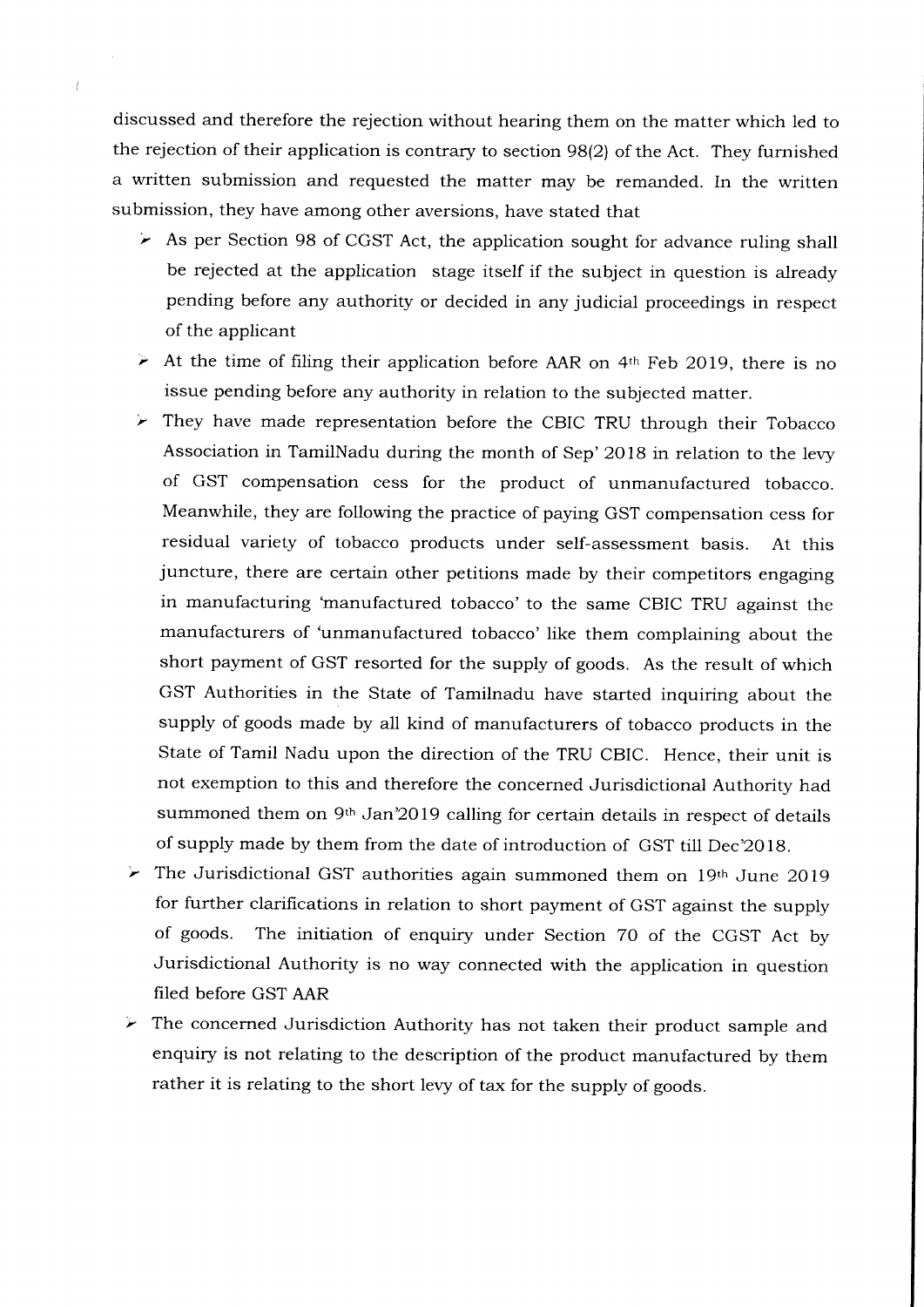discussed and therefore the rejection without hearing them on the matter which led to the rejection of their application is contrary to section 98(2) of the Act. They furnished a written submission and requested the matter may be remanded. In the written submission, they have among other aversions, have stated that

- $\triangleright$  As per Section 98 of CGST Act, the application sought for advance ruling shall be rejected at the application stage itself if the subject in question is already pending before any authority or decided in any judicial proceedings in respect of the applicant
- $\geq$  At the time of filing their application before AAR on 4<sup>th</sup> Feb 2019, there is no issue pending before any authority in relation to the subjected matter.
- $\triangleright$  They have made representation before the CBIC TRU through their Tobacco Association in TamilNadu during the month of Sep' 2O1B in relation to the levy of GST compensation cess for the product of unmanufactured tobacco. Meanwhile, they are following the practice of paying GST compensation cess for residual variety of tobacco products under self-assessment basis. At this juncture, there are certain other petitions made by their competitors engaging in manufacturing 'manufactured tobacco'to the same CBIC TRU against the manufacturers of 'unmanufactured tobacco' like them complaining about the short payment of GST resorted for the supply of goods. As the result of which GST Authorities in the State of Tamilnadu have started inquiring about the supply of goods made by all kind of manufacturers of tobacco products in the State of Tamil Nadu upon the direction of the TRU CBIC. Hence, their unit is not exemption to this and therefore the concerned Jurisdictional Authority had summoned them on 9<sup>th</sup> Jan'2019 calling for certain details in respect of details of supply made by them from the date of introduction of GST till Dec'2018.
- The Jurisdictional GST authorities again summoned them on 19th June 2019 ⊁ for further clarifications in relation to short payment of GST against the supply of goods. The initiation of enquiry under Section 70 of the CGST Act by Jurisdictional Authority is no way connected with the application in question filed before GST AAR
- The concerned Jurisdiction Authority has not taken their product sample and enquiry is not relating to the description of the product manufactured by them rather it is relating to the short levy of tax for the supply of goods.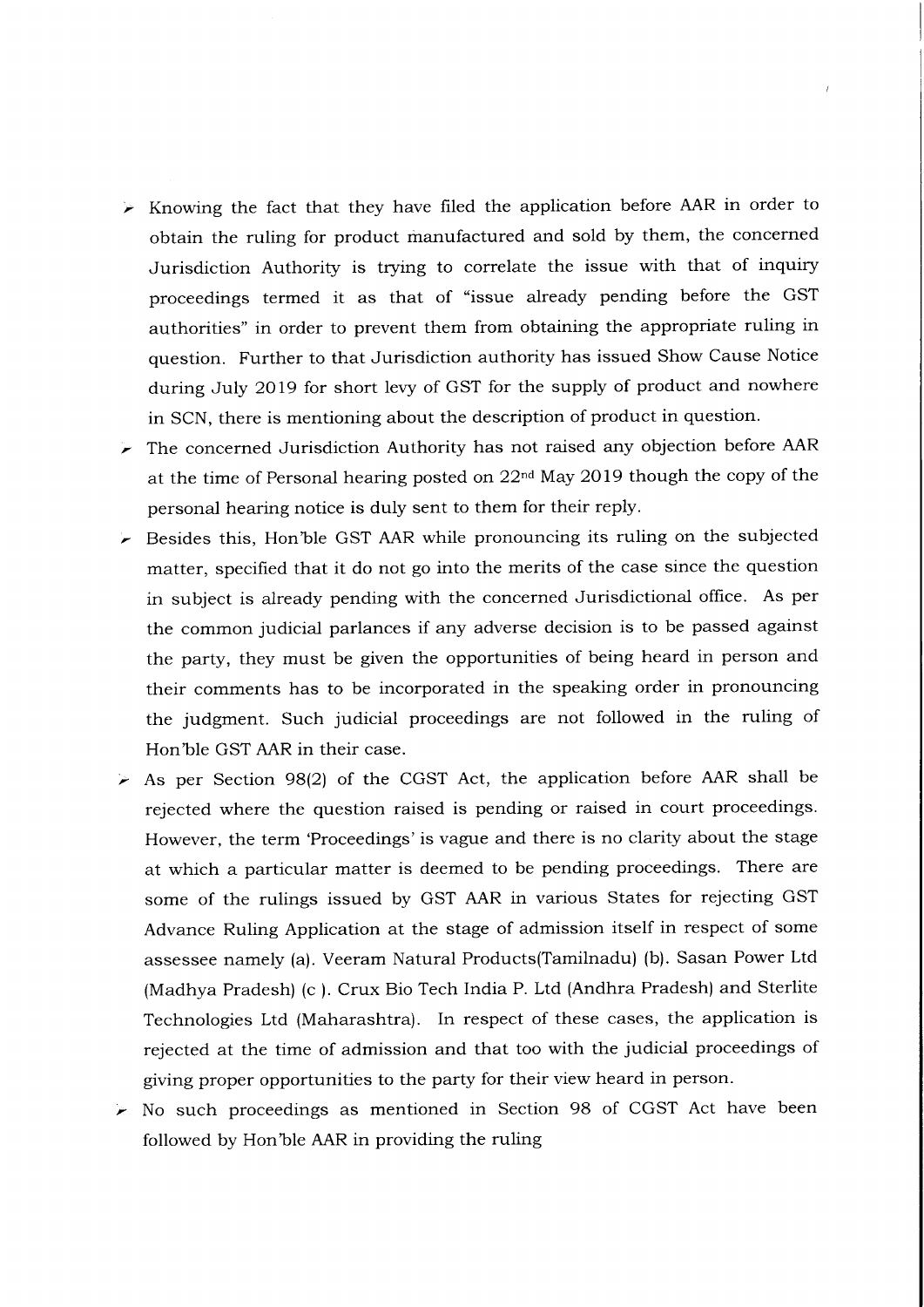- $\triangleright$  Knowing the fact that they have filed the application before AAR in order to obtain the ruling for product manufactured and sold by them, the concerned Jurisdiction Authority is trying to correlate the issue with that of inquiry proceedings termed it as that of "issue already pending before the GST authorities" in order to prevent them from obtaining the appropriate ruling in question. Further to that Jurisdiction authority has issued Show Cause Notice during July 2019 for short levy of GST for the supply of product and nowhere in SCN, there is mentioning about the description of product in question.
- The concerned Jurisdiction Authority has not raised any objection before AAR at the time of Personal hearing posted on 22<sup>nd</sup> May 2019 though the copy of the personal hearing notice is duly sent to them for their reply.
- $\blacktriangleright$  Besides this, Hon'ble GST AAR while pronouncing its ruling on the subjected matter, specified that it do not go into the merits of the case since the question in subject is already pending with the concerned Jurisdictional office. As per the common judicial parlances if any adverse decision is to be passed against the party, they must be given the opportunities of being heard in person and their comments has to be incorporated in the speaking order in pronouncing the judgment. Such judicial proceedings are not followed in the ruling of Hon'ble GST AAR in their case.
- $\triangleright$  As per Section 98(2) of the CGST Act, the application before AAR shall be rejected where the question raised is pending or raised in court proceedings. However, the term 'Proceedings'is vague and there is no clarity about the stage at which a particular matter is deemed to be pending proceedings. There are some of the rulings issued by GST AAR in various States for rejecting GST Advance Ruling Application at the stage of admission itself in respect of some assessee namely (a). Veeram Natural Products(Tamilnadu) (b). Sasan Power Ltd (Madhya Pradesh) (c ). Crux Bio Tech India P. Ltd (Andhra Pradesh) and Sterlite Technologies Ltd (Maharashtra). In respect of these cases, the application is rejected at the time of admission and that too with the judicial proceedings of giving proper opportunities to the party for their view heard in person.
- $\blacktriangleright$  No such proceedings as mentioned in Section 98 of CGST Act have been followed by Hon'ble AAR in providing the ruling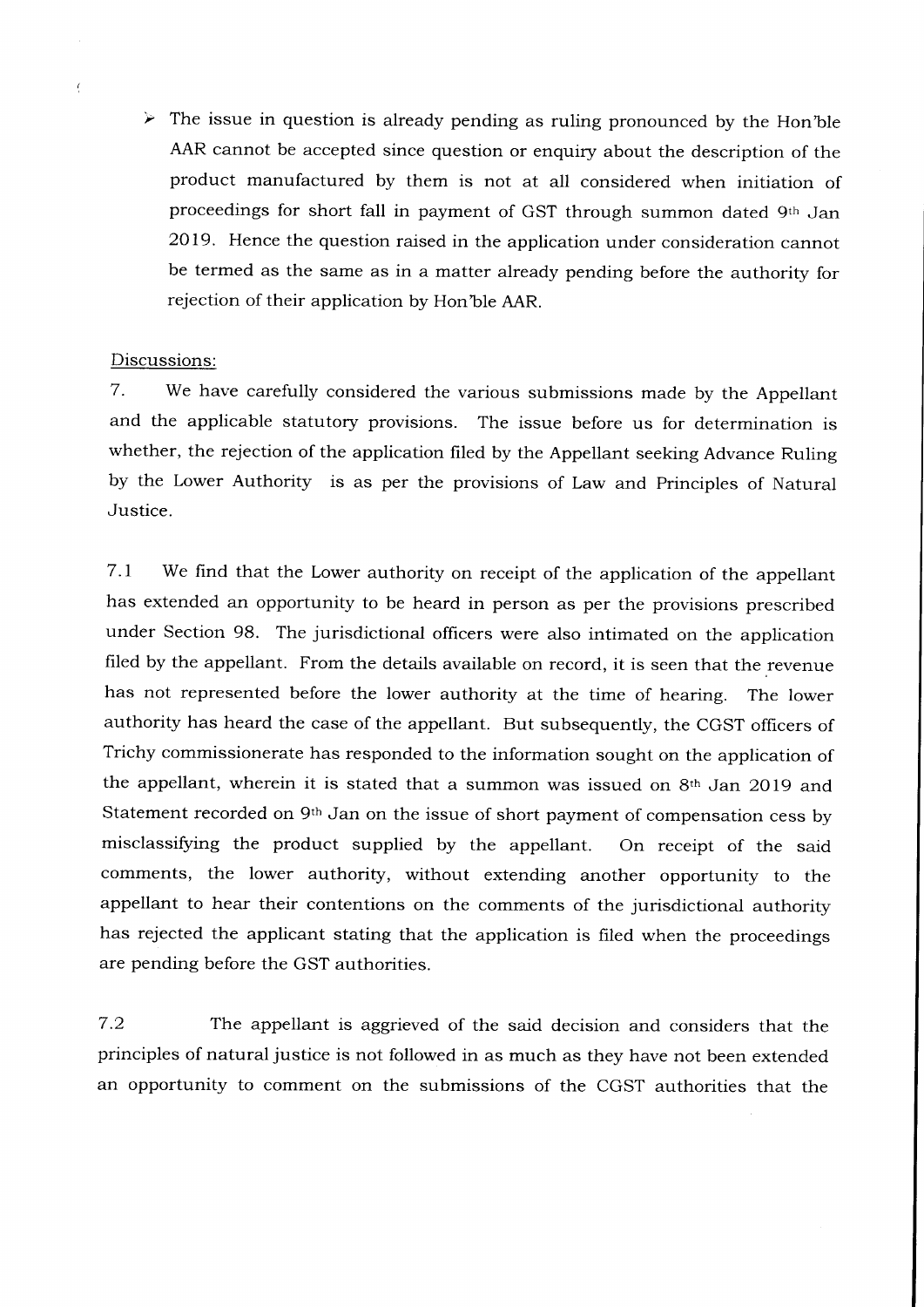$\triangleright$  The issue in question is already pending as ruling pronounced by the Hon'ble AAR cannot be accepted since question or enquiry about the description of the product manufactured by them is not at all considered when initiation of proceedings for short fall in payment of GST through summon dated 9th Jan 2079. Hence the question raised in the application under consideration cannot be termed as the same as in a matter already pending before the authority for rejection of their application by Hon'ble AAR.

#### Discussions:

7. We have carefuily considered the various submissions made by the Appellant and the applicable statutory provisions. The issue before us for determination is whether, the rejection of the application filed by the Appellant seeking Advance Ruling by the Lower Authority is as per the provisions of Law and Principles of Natural Justice.

7.1 We find that the Lower authority on receipt of the application of the appellant has extended an opportunity to be heard in person as per the provisions prescribed under Section 98. The jurisdictional officers were also intimated on the application filed by the appellant. From the details available on record, it is seen that the revenue has not represented before the lower authority at the time of hearing. The lower authority has heard the case of the appellant. But subsequently, the CGST officers of Trichy commissionerate has responded to the information sought on the application of the appellant, wherein it is stated that a summon was issued on 8th Jan 2019 and Statement recorded on 9<sup>th</sup> Jan on the issue of short payment of compensation cess by misclassifying the product supplied by the appellant. On receipt of the said comments, the lower authority, without extending another opportunity to the appellant to hear their contentions on the comments of the jurisdictional authority has rejected the applicant stating that the application is filed when the proceedings are pending before the GST authorities.

7.2 The appellant is aggrieved of the said decision and considers that the principles of natural justice is not followed in as much as they have not been extended an opportunity to comment on the submissions of the CGST authorities that the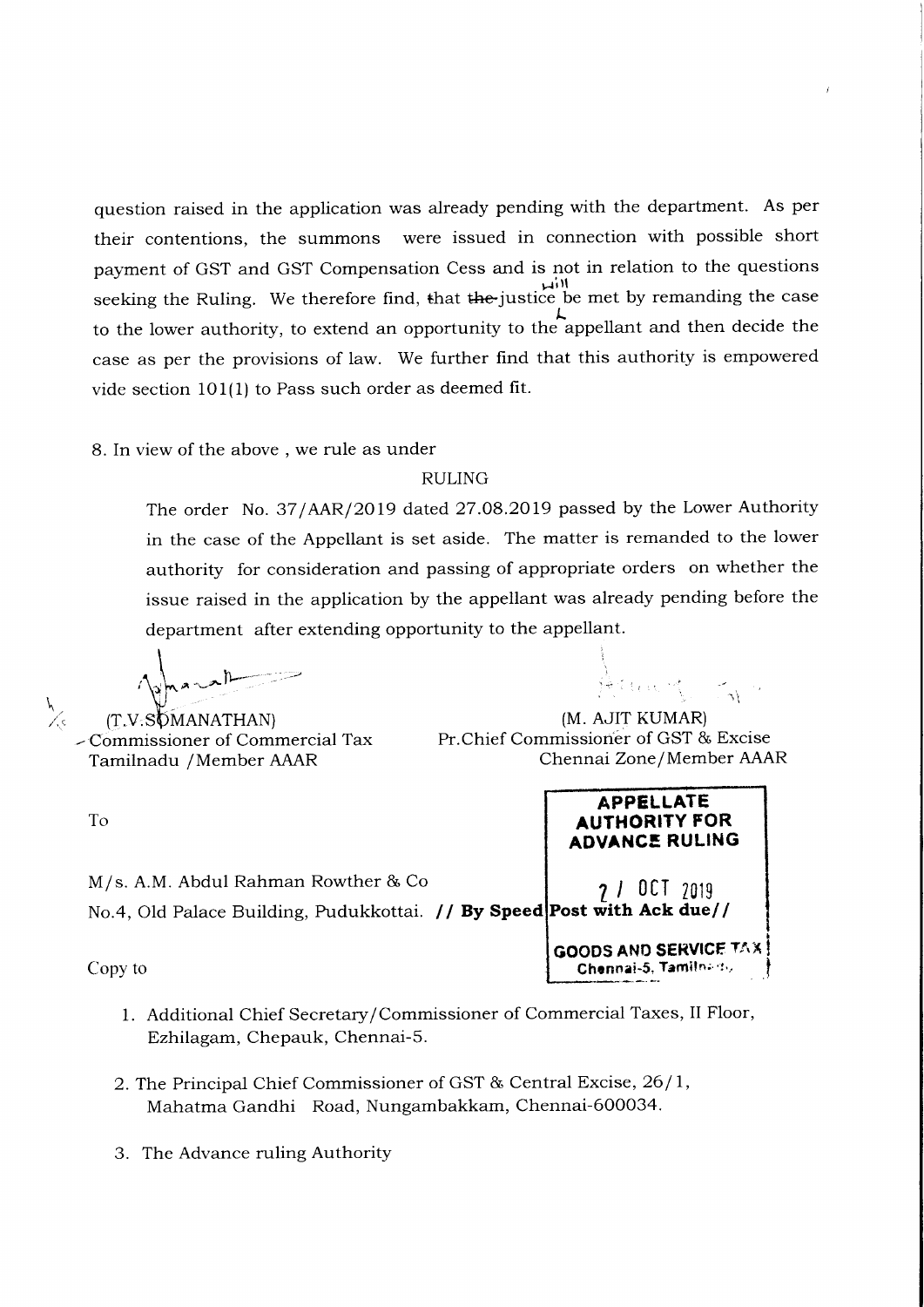question raised in the application was already pending with the department. As per their contentions, the summons were issued in connection with possible short payment of GST and GST Compensation Cess and is not in relation to the questions un<br>seeking the Ruling. We therefore find, that the justice be met by remanding the case to the lower authority, to extend an opportunity to the appellant and then decide the case as per the provisions of law. We further find that this authority is empowered vide section 101(1) to Pass such order as deemed fit.

8. In view of the above . we rule as under

#### RULING

The order No. 37/AAR/2019 dated 27.08.2019 passed by the Lower Authority in the case of the Appellant is set aside. The matter is remanded to the lower authority for consideration and passing of appropriate orders on whether the issue raised in the application by the appellant was already pending before the department after extending opportunity to the appellant.

I I  $\int_{\gamma_{m,n}}$  $\gamma$  $\sim$  $\setminus$ 

 $(T.V.SOMANATHAN)$ - Cornmissioner of Commercial Tax Tarnilnadu / Member AAAR

To

 $\sqrt{c}$ 

i- . ,

(M. AJIT KUMAR) Pr.Chief Commissioner of GST & Excise Chennai Zone /Member AAAR

> APPELLATE AUTHORITY FOR ADVANCE RULING

GOODS AND SERVICE TAX Chennai-5, Tamiln; 't.,

M/s. A.M. Abdul Rahman Rowther & Co No.4, Old Palace Building, Pudukkottai. **// By Speed Post with Ack due//** 7l OCI <sup>2019</sup>

Copy to

- 1. Additional Chief Secretary/Commissioner of Commercial Taxes, II Floor, Ezhilagam, Chepauk, Chennai-5.
- 2. The Principal Chief Commissioner of GST & Central Excise, 26 / l, Mahatma Gandhi Road, Nungambakkam, Chennai-600034.
- 3. The Advance ruling Authority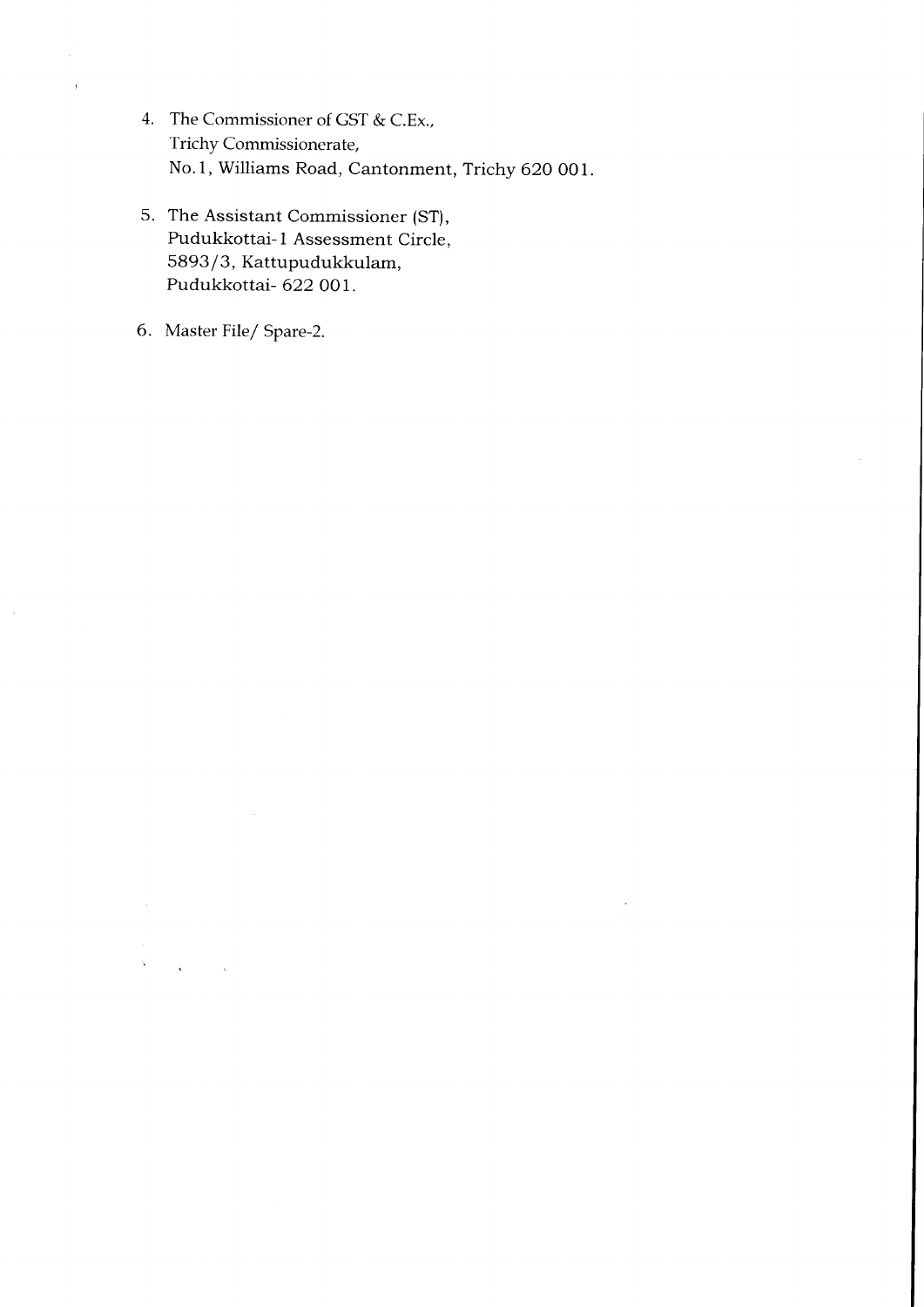- 4. The Commissioner of GST & C.Ex., Trichy Commissionerate, No.1, Williams Road, Cantonment, Trichy 620 001.
- 5. The Assistant Commissioner (ST), Pudukkottai-1 Assessment Circle, 5893/3, Kattupudukkulam, Pudukkottai- 622 OO1.
- 6. Master File/ Spare-2.

 $\sim$